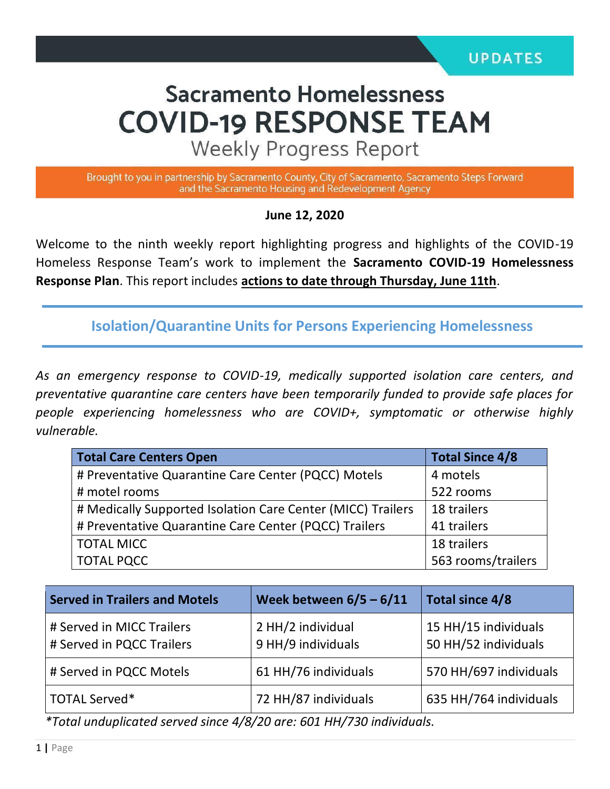# **Sacramento Homelessness COVID-19 RESPONSE TEAM**

**Weekly Progress Report** 

Brought to you in partnership by Sacramento County, City of Sacramento, Sacramento Steps Forward and the Sacramento Housing and Redevelopment Agency

**June 12, 2020**

Welcome to the ninth weekly report highlighting progress and highlights of the COVID-19 Homeless Response Team's work to implement the **Sacramento COVID-19 Homelessness Response Plan**. This report includes **actions to date through Thursday, June 11th**.

**Isolation/Quarantine Units for Persons Experiencing Homelessness**

*As an emergency response to COVID-19, medically supported isolation care centers, and preventative quarantine care centers have been temporarily funded to provide safe places for people experiencing homelessness who are COVID+, symptomatic or otherwise highly vulnerable.*

| <b>Total Care Centers Open</b>                              | <b>Total Since 4/8</b> |  |
|-------------------------------------------------------------|------------------------|--|
| # Preventative Quarantine Care Center (PQCC) Motels         | 4 motels               |  |
| # motel rooms                                               | 522 rooms              |  |
| # Medically Supported Isolation Care Center (MICC) Trailers | 18 trailers            |  |
| # Preventative Quarantine Care Center (PQCC) Trailers       | 41 trailers            |  |
| <b>TOTAL MICC</b>                                           | 18 trailers            |  |
| <b>TOTAL PQCC</b>                                           | 563 rooms/trailers     |  |

| <b>Served in Trailers and Motels</b>                   | Week between $6/5 - 6/11$               | Total since 4/8                              |  |  |
|--------------------------------------------------------|-----------------------------------------|----------------------------------------------|--|--|
| # Served in MICC Trailers<br># Served in PQCC Trailers | 2 HH/2 individual<br>9 HH/9 individuals | 15 HH/15 individuals<br>50 HH/52 individuals |  |  |
| # Served in PQCC Motels                                | 61 HH/76 individuals                    | 570 HH/697 individuals                       |  |  |
| TOTAL Served*                                          | 72 HH/87 individuals                    | 635 HH/764 individuals                       |  |  |

*\*Total unduplicated served since 4/8/20 are: 601 HH/730 individuals.*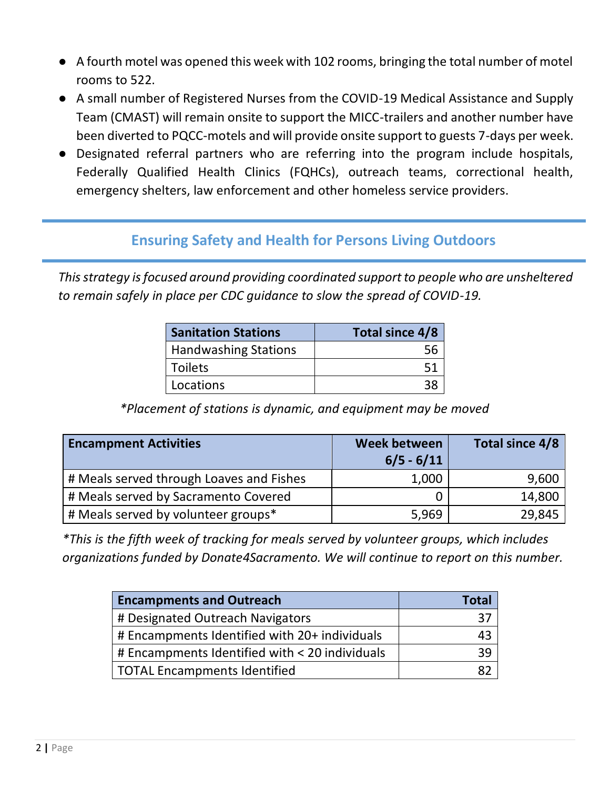- A fourth motel was opened this week with 102 rooms, bringing the total number of motel rooms to 522.
- A small number of Registered Nurses from the COVID-19 Medical Assistance and Supply Team (CMAST) will remain onsite to support the MICC-trailers and another number have been diverted to PQCC-motels and will provide onsite support to guests 7-days per week.
- Designated referral partners who are referring into the program include hospitals, Federally Qualified Health Clinics (FQHCs), outreach teams, correctional health, emergency shelters, law enforcement and other homeless service providers.

## **Ensuring Safety and Health for Persons Living Outdoors**

*This strategy is focused around providing coordinated support to people who are unsheltered to remain safely in place per CDC guidance to slow the spread of COVID-19.*

| <b>Sanitation Stations</b>  | Total since 4/8 |  |  |
|-----------------------------|-----------------|--|--|
| <b>Handwashing Stations</b> |                 |  |  |
| <b>Toilets</b>              | 51              |  |  |
| Locations                   |                 |  |  |

*\*Placement of stations is dynamic, and equipment may be moved*

| <b>Encampment Activities</b>             | <b>Week between</b><br>$6/5 - 6/11$ | Total since 4/8 |
|------------------------------------------|-------------------------------------|-----------------|
| # Meals served through Loaves and Fishes | 1,000                               | 9,600           |
| # Meals served by Sacramento Covered     |                                     | 14,800          |
| # Meals served by volunteer groups*      | 5,969                               | 29,845          |

*\*This is the fifth week of tracking for meals served by volunteer groups, which includes organizations funded by Donate4Sacramento. We will continue to report on this number.* 

| <b>Encampments and Outreach</b>                | Total |
|------------------------------------------------|-------|
| # Designated Outreach Navigators               |       |
| # Encampments Identified with 20+ individuals  | 43    |
| # Encampments Identified with < 20 individuals |       |
| TOTAL Encampments Identified                   |       |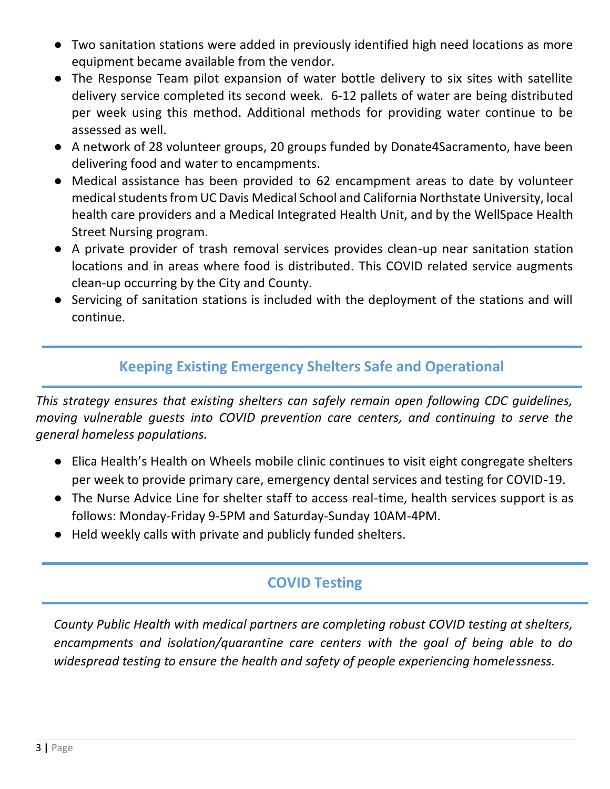- Two sanitation stations were added in previously identified high need locations as more equipment became available from the vendor.
- The Response Team pilot expansion of water bottle delivery to six sites with satellite delivery service completed its second week. 6-12 pallets of water are being distributed per week using this method. Additional methods for providing water continue to be assessed as well.
- A network of 28 volunteer groups, 20 groups funded by Donate4Sacramento, have been delivering food and water to encampments.
- Medical assistance has been provided to 62 encampment areas to date by volunteer medical students from UC Davis Medical School and California Northstate University, local health care providers and a Medical Integrated Health Unit, and by the WellSpace Health Street Nursing program.
- A private provider of trash removal services provides clean-up near sanitation station locations and in areas where food is distributed. This COVID related service augments clean-up occurring by the City and County.
- Servicing of sanitation stations is included with the deployment of the stations and will continue.

## **Keeping Existing Emergency Shelters Safe and Operational**

*This strategy ensures that existing shelters can safely remain open following CDC guidelines, moving vulnerable guests into COVID prevention care centers, and continuing to serve the general homeless populations.* 

- Elica Health's Health on Wheels mobile clinic continues to visit eight congregate shelters per week to provide primary care, emergency dental services and testing for COVID-19.
- The Nurse Advice Line for shelter staff to access real-time, health services support is as follows: Monday-Friday 9-5PM and Saturday-Sunday 10AM-4PM.
- Held weekly calls with private and publicly funded shelters.

## **COVID Testing**

*County Public Health with medical partners are completing robust COVID testing at shelters, encampments and isolation/quarantine care centers with the goal of being able to do widespread testing to ensure the health and safety of people experiencing homelessness.*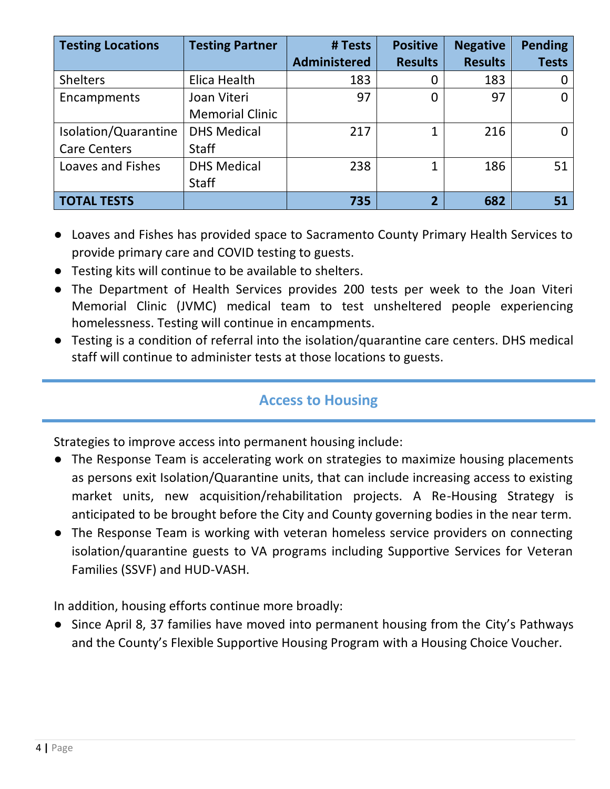| <b>Testing Locations</b> | <b>Testing Partner</b> | # Tests             | <b>Positive</b> | <b>Negative</b> | <b>Pending</b> |
|--------------------------|------------------------|---------------------|-----------------|-----------------|----------------|
|                          |                        | <b>Administered</b> | <b>Results</b>  | <b>Results</b>  | <b>Tests</b>   |
| <b>Shelters</b>          | Elica Health           | 183                 |                 | 183             |                |
| Encampments              | Joan Viteri            | 97                  |                 | 97              | 0              |
|                          | <b>Memorial Clinic</b> |                     |                 |                 |                |
| Isolation/Quarantine     | <b>DHS Medical</b>     | 217                 | 1               | 216             | 0              |
| <b>Care Centers</b>      | <b>Staff</b>           |                     |                 |                 |                |
| Loaves and Fishes        | <b>DHS Medical</b>     | 238                 | 1               | 186             | 51             |
|                          | <b>Staff</b>           |                     |                 |                 |                |
| <b>TOTAL TESTS</b>       |                        | 735                 | $\overline{2}$  | 682             | 51             |

- Loaves and Fishes has provided space to Sacramento County Primary Health Services to provide primary care and COVID testing to guests.
- Testing kits will continue to be available to shelters.
- The Department of Health Services provides 200 tests per week to the Joan Viteri Memorial Clinic (JVMC) medical team to test unsheltered people experiencing homelessness. Testing will continue in encampments.
- Testing is a condition of referral into the isolation/quarantine care centers. DHS medical staff will continue to administer tests at those locations to guests.

#### **Access to Housing**

Strategies to improve access into permanent housing include:

- The Response Team is accelerating work on strategies to maximize housing placements as persons exit Isolation/Quarantine units, that can include increasing access to existing market units, new acquisition/rehabilitation projects. A Re-Housing Strategy is anticipated to be brought before the City and County governing bodies in the near term.
- The Response Team is working with veteran homeless service providers on connecting isolation/quarantine guests to VA programs including Supportive Services for Veteran Families (SSVF) and HUD-VASH.

In addition, housing efforts continue more broadly:

● Since April 8, 37 families have moved into permanent housing from the City's Pathways and the County's Flexible Supportive Housing Program with a Housing Choice Voucher.